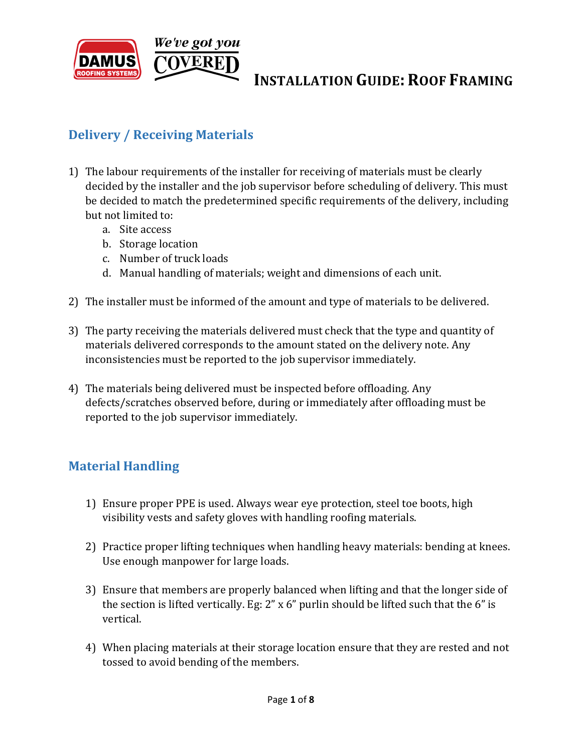

## **Delivery / Receiving Materials**

- 1) The labour requirements of the installer for receiving of materials must be clearly decided by the installer and the job supervisor before scheduling of delivery. This must be decided to match the predetermined specific requirements of the delivery, including but not limited to:
	- a. Site access
	- b. Storage location
	- c. Number of truck loads
	- d. Manual handling of materials; weight and dimensions of each unit.
- 2) The installer must be informed of the amount and type of materials to be delivered.
- 3) The party receiving the materials delivered must check that the type and quantity of materials delivered corresponds to the amount stated on the delivery note. Any inconsistencies must be reported to the job supervisor immediately.
- 4) The materials being delivered must be inspected before offloading. Any defects/scratches observed before, during or immediately after offloading must be reported to the job supervisor immediately.

### **Material Handling**

- 1) Ensure proper PPE is used. Always wear eye protection, steel toe boots, high visibility vests and safety gloves with handling roofing materials.
- 2) Practice proper lifting techniques when handling heavy materials: bending at knees. Use enough manpower for large loads.
- 3) Ensure that members are properly balanced when lifting and that the longer side of the section is lifted vertically. Eg: 2" x 6" purlin should be lifted such that the 6" is vertical.
- 4) When placing materials at their storage location ensure that they are rested and not tossed to avoid bending of the members.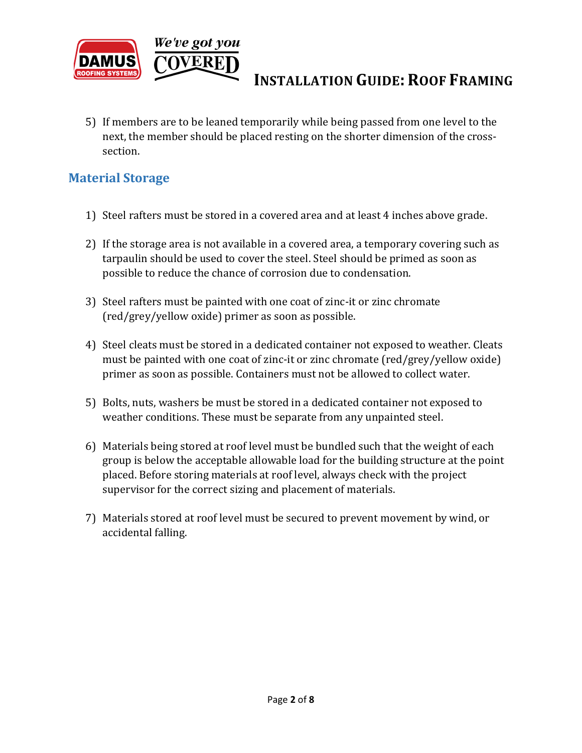

5) If members are to be leaned temporarily while being passed from one level to the next, the member should be placed resting on the shorter dimension of the crosssection.

#### **Material Storage**

- 1) Steel rafters must be stored in a covered area and at least 4 inches above grade.
- 2) If the storage area is not available in a covered area, a temporary covering such as tarpaulin should be used to cover the steel. Steel should be primed as soon as possible to reduce the chance of corrosion due to condensation.
- 3) Steel rafters must be painted with one coat of zinc-it or zinc chromate (red/grey/yellow oxide) primer as soon as possible.
- 4) Steel cleats must be stored in a dedicated container not exposed to weather. Cleats must be painted with one coat of zinc-it or zinc chromate (red/grey/yellow oxide) primer as soon as possible. Containers must not be allowed to collect water.
- 5) Bolts, nuts, washers be must be stored in a dedicated container not exposed to weather conditions. These must be separate from any unpainted steel.
- 6) Materials being stored at roof level must be bundled such that the weight of each group is below the acceptable allowable load for the building structure at the point placed. Before storing materials at roof level, always check with the project supervisor for the correct sizing and placement of materials.
- 7) Materials stored at roof level must be secured to prevent movement by wind, or accidental falling.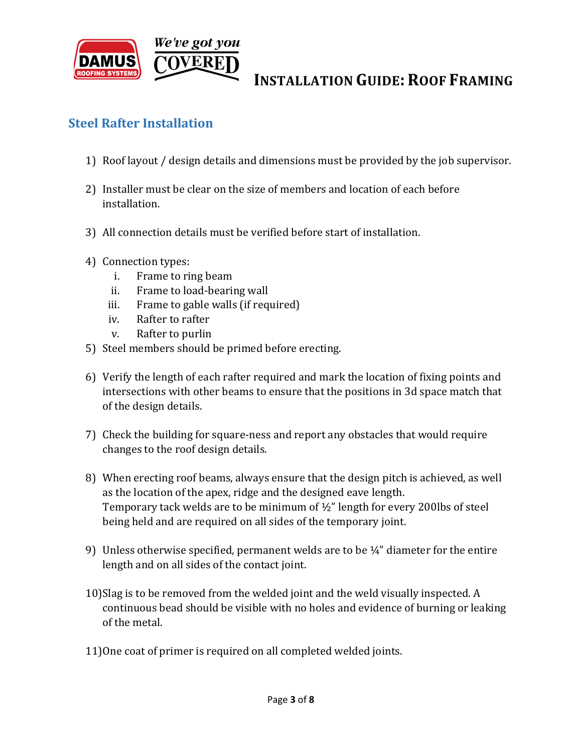

#### **Steel Rafter Installation**

- 1) Roof layout / design details and dimensions must be provided by the job supervisor.
- 2) Installer must be clear on the size of members and location of each before installation.
- 3) All connection details must be verified before start of installation.
- 4) Connection types:
	- i. Frame to ring beam
	- ii. Frame to load-bearing wall
	- iii. Frame to gable walls (if required)
	- iv. Rafter to rafter
	- v. Rafter to purlin
- 5) Steel members should be primed before erecting.
- 6) Verify the length of each rafter required and mark the location of fixing points and intersections with other beams to ensure that the positions in 3d space match that of the design details.
- 7) Check the building for square-ness and report any obstacles that would require changes to the roof design details.
- 8) When erecting roof beams, always ensure that the design pitch is achieved, as well as the location of the apex, ridge and the designed eave length. Temporary tack welds are to be minimum of ½" length for every 200lbs of steel being held and are required on all sides of the temporary joint.
- 9) Unless otherwise specified, permanent welds are to be  $\frac{1}{4}$  diameter for the entire length and on all sides of the contact joint.
- 10)Slag is to be removed from the welded joint and the weld visually inspected. A continuous bead should be visible with no holes and evidence of burning or leaking of the metal.
- 11)One coat of primer is required on all completed welded joints.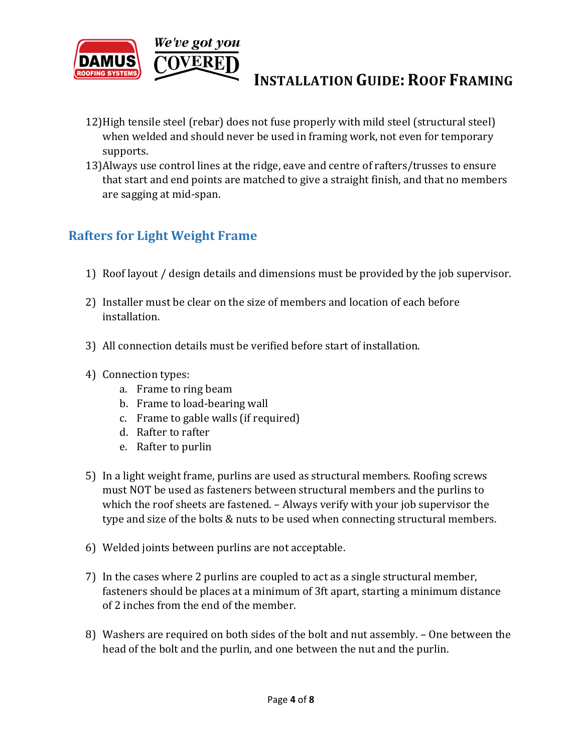

- 12)High tensile steel (rebar) does not fuse properly with mild steel (structural steel) when welded and should never be used in framing work, not even for temporary supports.
- 13)Always use control lines at the ridge, eave and centre of rafters/trusses to ensure that start and end points are matched to give a straight finish, and that no members are sagging at mid-span.

### **Rafters for Light Weight Frame**

- 1) Roof layout / design details and dimensions must be provided by the job supervisor.
- 2) Installer must be clear on the size of members and location of each before installation.
- 3) All connection details must be verified before start of installation.
- 4) Connection types:
	- a. Frame to ring beam
	- b. Frame to load-bearing wall
	- c. Frame to gable walls (if required)
	- d. Rafter to rafter
	- e. Rafter to purlin
- 5) In a light weight frame, purlins are used as structural members. Roofing screws must NOT be used as fasteners between structural members and the purlins to which the roof sheets are fastened. – Always verify with your job supervisor the type and size of the bolts & nuts to be used when connecting structural members.
- 6) Welded joints between purlins are not acceptable.
- 7) In the cases where 2 purlins are coupled to act as a single structural member, fasteners should be places at a minimum of 3ft apart, starting a minimum distance of 2 inches from the end of the member.
- 8) Washers are required on both sides of the bolt and nut assembly. One between the head of the bolt and the purlin, and one between the nut and the purlin.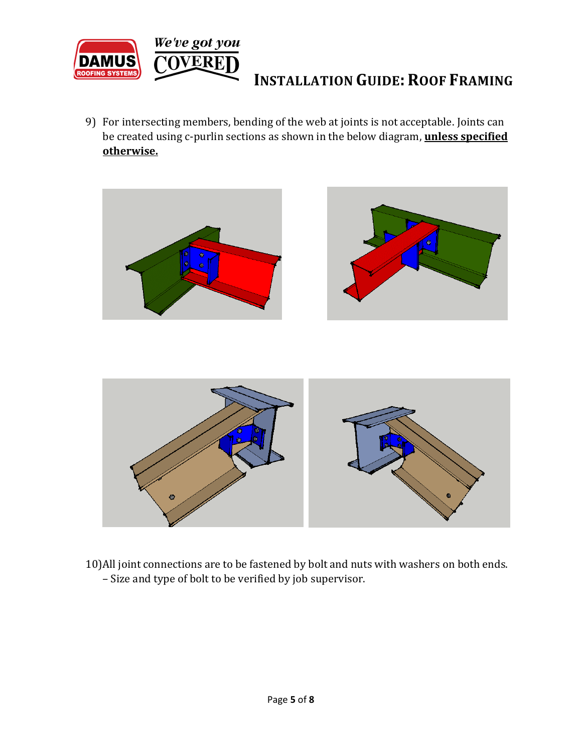

9) For intersecting members, bending of the web at joints is not acceptable. Joints can be created using c-purlin sections as shown in the below diagram, **unless specified otherwise.**





10)All joint connections are to be fastened by bolt and nuts with washers on both ends. – Size and type of bolt to be verified by job supervisor.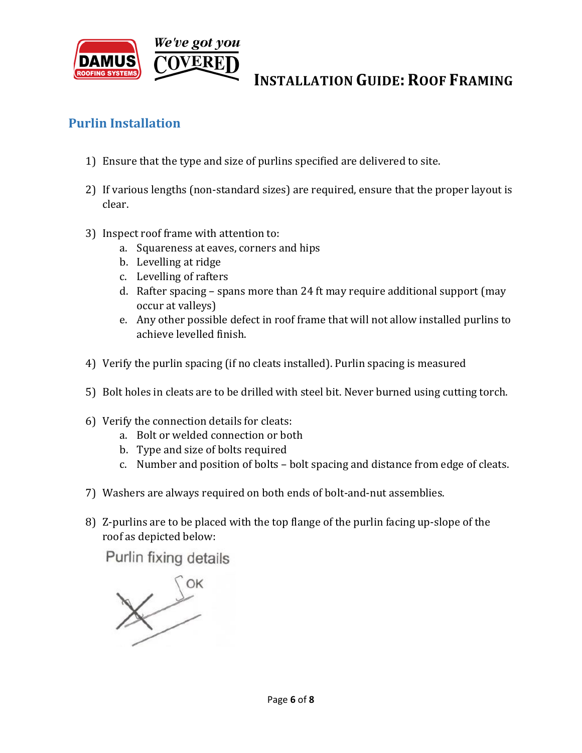

#### **Purlin Installation**

- 1) Ensure that the type and size of purlins specified are delivered to site.
- 2) If various lengths (non-standard sizes) are required, ensure that the proper layout is clear.
- 3) Inspect roof frame with attention to:
	- a. Squareness at eaves, corners and hips
	- b. Levelling at ridge
	- c. Levelling of rafters
	- d. Rafter spacing spans more than 24 ft may require additional support (may occur at valleys)
	- e. Any other possible defect in roof frame that will not allow installed purlins to achieve levelled finish.
- 4) Verify the purlin spacing (if no cleats installed). Purlin spacing is measured
- 5) Bolt holes in cleats are to be drilled with steel bit. Never burned using cutting torch.
- 6) Verify the connection details for cleats:
	- a. Bolt or welded connection or both
	- b. Type and size of bolts required
	- c. Number and position of bolts bolt spacing and distance from edge of cleats.
- 7) Washers are always required on both ends of bolt-and-nut assemblies.
- 8) Z-purlins are to be placed with the top flange of the purlin facing up-slope of the roof as depicted below:

Purlin fixing details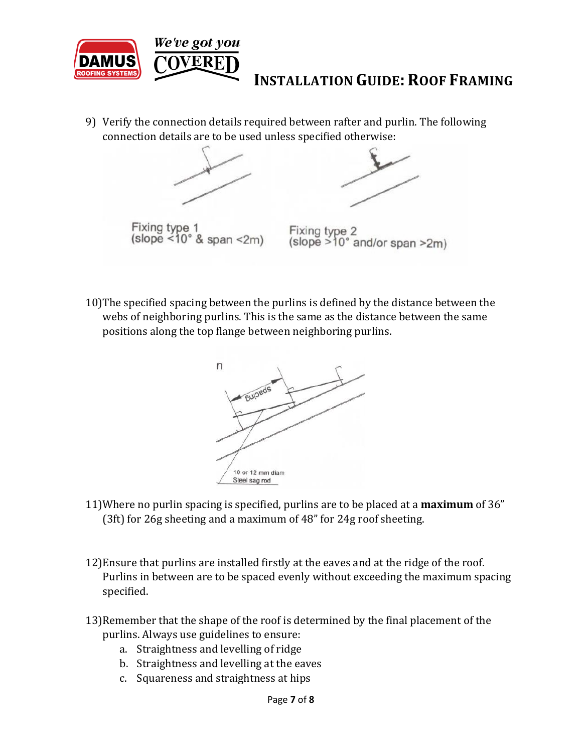

9) Verify the connection details required between rafter and purlin. The following connection details are to be used unless specified otherwise:



10)The specified spacing between the purlins is defined by the distance between the webs of neighboring purlins. This is the same as the distance between the same positions along the top flange between neighboring purlins.



- 11)Where no purlin spacing is specified, purlins are to be placed at a **maximum** of 36" (3ft) for 26g sheeting and a maximum of 48" for 24g roof sheeting.
- 12)Ensure that purlins are installed firstly at the eaves and at the ridge of the roof. Purlins in between are to be spaced evenly without exceeding the maximum spacing specified.
- 13)Remember that the shape of the roof is determined by the final placement of the purlins. Always use guidelines to ensure:
	- a. Straightness and levelling of ridge
	- b. Straightness and levelling at the eaves
	- c. Squareness and straightness at hips